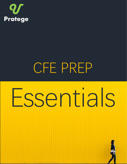

## CFE PREP

# Essentials

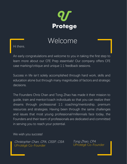

## Welcome

Hi there,

An early congratulations and welcome to you in taking the first step to learn more about our CFE Prep essentials! Our company offers CFE case marking/critique and unique 1:1 feedback sessions.

Success in life isn't solely accomplished through hard work, skills and education alone but through many magnitudes of factors and strategic decisions.

The Founders Chris Chan and Tong Zhao has made it their mission to guide, train and mentor/coach individuals so that you can realize their dreams through professional 1:1 coaching/mentorship, premium resources and strategies. Having been through the same challenges and issues that most young professional/millennials face today, the Founders and their team of professionals are dedicated and committed in serving you to reach your potential.

We wish you success!

Christopher Chan, CPA, CISSP, CISA Tong Zhao, CPA<br>I IProtégé Co-Founder de UProtégé Co-Founder UProtégé Co-Founder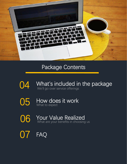

## Package Contents

- O4 What's included in the package We'll go over service offerings
- How does it work 05 What to expect
- Your Value Realized 06 What are your benefits in choosing us
- FAQ  $0/$

T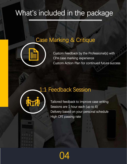## What's included in the package

## Case Marking & Critique



• Custom Feedback by the Professional(s) with CPA case marking experience Custom Action Plan for continued future success

## 1:1 Feedback Session



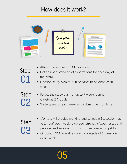## How does it work?



- Attend the seminar on CFE overview
- Get an understanding of expectations for each day of the exam
- Develop study plan to outline cases to be done each week
- Follow the study plan for up to 7 weeks during Capstone 2 Module
	- Write cases for each week and submit them on time

## 03 Step

01

Step

Step

- Mentors will provide marking and schedule 1:1 session (up to 1 hour) each week to go over strengths/weaknesses and provide feedback on how to improve case writing skills
- Ongoing Q&A available via email outside of 1:1 session every week

05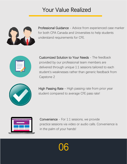## Your Value Realized



rak<br>re Professional Guidance - Advice from experienced case marker for both CPA Canada and Universities to help students understand requirements for CFE.



Customized Solution to Your Needs - The feedback provided by our professional team members are delivered through unique 1:1 sessions tailored to each student's weaknesses rather than generic feedback from Capstone 2



High Passing Rate - High passing rate from prior year student compared to average CFE pass rate!



Convenience - For 1:1 sessions, we provide practice sessions via video or audio calls. Convenience is in the palm of your hands!

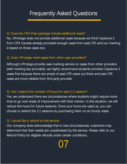## Frequently Asked Questions

#### Q: Does the CPA Prep package include additional cases?

No, UProtege does not provide additional cases because we think Capstone 2 from CPA Canada already provided enough cases from past CFE and our marking is based on those cases too.

### Q: Does UProtege mark cases from other case providers?

Although UProtege provide case marking service on cases from other providers (with marking key provided), we highly recommend students prioritize Capstone 2 cases first because there are ample of past CFE cases out there and past CFE cases are more reliable from 3rd party provider

#### Q: Can I extend the number of hours for each 1:1 session?

Yes, we understand there are circumstances where students might require more time to go over areas of improvement with their mentor. In this situation, we will reduce the hours for future sessions. Once your hours are used up, you can choose to extend the 1:1 sessions by purchasing them on an hourly-basis.

### Q: I would like a refund on the service

Our company does acknowledge that in rare circumstances, customers may determine that their needs are unaddressed by the service. Please refer to our Refund Policy for eligible refunds under certain conditions.

07